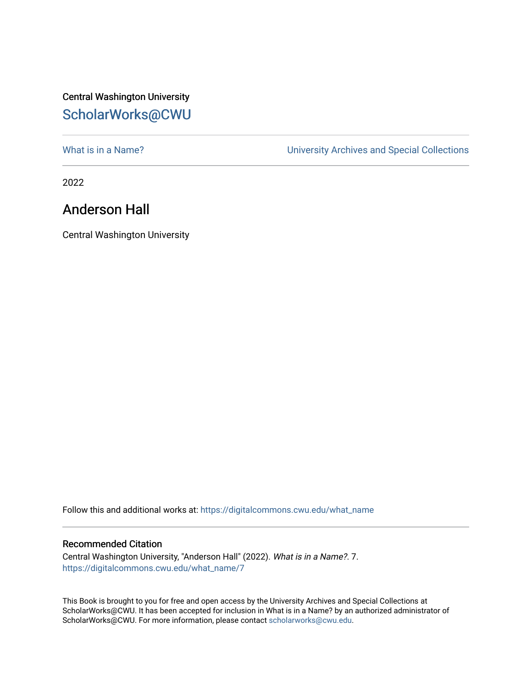## Central Washington University [ScholarWorks@CWU](https://digitalcommons.cwu.edu/)

[What is in a Name?](https://digitalcommons.cwu.edu/what_name) **What is in a Name?** University Archives and Special Collections

2022

## Anderson Hall

Central Washington University

Follow this and additional works at: [https://digitalcommons.cwu.edu/what\\_name](https://digitalcommons.cwu.edu/what_name?utm_source=digitalcommons.cwu.edu%2Fwhat_name%2F7&utm_medium=PDF&utm_campaign=PDFCoverPages) 

## Recommended Citation

Central Washington University, "Anderson Hall" (2022). What is in a Name?. 7. [https://digitalcommons.cwu.edu/what\\_name/7](https://digitalcommons.cwu.edu/what_name/7?utm_source=digitalcommons.cwu.edu%2Fwhat_name%2F7&utm_medium=PDF&utm_campaign=PDFCoverPages) 

This Book is brought to you for free and open access by the University Archives and Special Collections at ScholarWorks@CWU. It has been accepted for inclusion in What is in a Name? by an authorized administrator of ScholarWorks@CWU. For more information, please contact [scholarworks@cwu.edu](mailto:scholarworks@cwu.edu).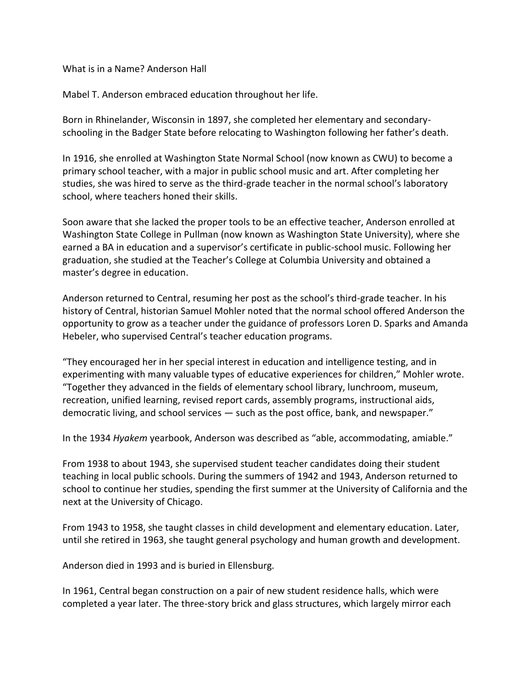What is in a Name? Anderson Hall

Mabel T. Anderson embraced education throughout her life.

Born in Rhinelander, Wisconsin in 1897, she completed her elementary and secondaryschooling in the Badger State before relocating to Washington following her father's death.

In 1916, she enrolled at Washington State Normal School (now known as CWU) to become a primary school teacher, with a major in public school music and art. After completing her studies, she was hired to serve as the third-grade teacher in the normal school's laboratory school, where teachers honed their skills.

Soon aware that she lacked the proper tools to be an effective teacher, Anderson enrolled at Washington State College in Pullman (now known as Washington State University), where she earned a BA in education and a supervisor's certificate in public-school music. Following her graduation, she studied at the Teacher's College at Columbia University and obtained a master's degree in education.

Anderson returned to Central, resuming her post as the school's third-grade teacher. In his history of Central, historian Samuel Mohler noted that the normal school offered Anderson the opportunity to grow as a teacher under the guidance of professors Loren D. Sparks and Amanda Hebeler, who supervised Central's teacher education programs.

"They encouraged her in her special interest in education and intelligence testing, and in experimenting with many valuable types of educative experiences for children," Mohler wrote. "Together they advanced in the fields of elementary school library, lunchroom, museum, recreation, unified learning, revised report cards, assembly programs, instructional aids, democratic living, and school services — such as the post office, bank, and newspaper."

In the 1934 *Hyakem* yearbook, Anderson was described as "able, accommodating, amiable."

From 1938 to about 1943, she supervised student teacher candidates doing their student teaching in local public schools. During the summers of 1942 and 1943, Anderson returned to school to continue her studies, spending the first summer at the University of California and the next at the University of Chicago.

From 1943 to 1958, she taught classes in child development and elementary education. Later, until she retired in 1963, she taught general psychology and human growth and development.

Anderson died in 1993 and is buried in Ellensburg.

In 1961, Central began construction on a pair of new student residence halls, which were completed a year later. The three-story brick and glass structures, which largely mirror each